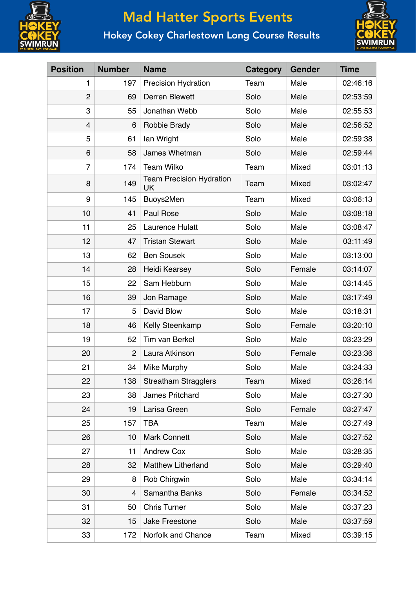

## Mad Hatter Sports Events

## Hokey Cokey Charlestown Long Course Results



| <b>Position</b> | <b>Number</b>  | <b>Name</b>                           | <b>Category</b> | <b>Gender</b> | <b>Time</b> |
|-----------------|----------------|---------------------------------------|-----------------|---------------|-------------|
| 1               | 197            | <b>Precision Hydration</b>            | Team            | Male          | 02:46:16    |
| $\overline{2}$  | 69             | <b>Derren Blewett</b>                 | Solo            | Male          | 02:53:59    |
| 3               | 55             | Jonathan Webb                         | Solo            | Male          | 02:55:53    |
| 4               | 6              | Robbie Brady                          | Solo            | Male          | 02:56:52    |
| 5               | 61             | lan Wright                            | Solo            | Male          | 02:59:38    |
| 6               | 58             | James Whetman                         | Solo            | Male          | 02:59:44    |
| $\overline{7}$  | 174            | <b>Team Wilko</b>                     | Team            | Mixed         | 03:01:13    |
| 8               | 149            | <b>Team Precision Hydration</b><br>UK | Team            | Mixed         | 03:02:47    |
| 9               | 145            | Buoys2Men                             | Team            | Mixed         | 03:06:13    |
| 10              | 41             | Paul Rose                             | Solo            | Male          | 03:08:18    |
| 11              | 25             | Laurence Hulatt                       | Solo            | Male          | 03:08:47    |
| 12              | 47             | <b>Tristan Stewart</b>                | Solo            | Male          | 03:11:49    |
| 13              | 62             | <b>Ben Sousek</b>                     | Solo            | Male          | 03:13:00    |
| 14              | 28             | <b>Heidi Kearsey</b>                  | Solo            | Female        | 03:14:07    |
| 15              | 22             | Sam Hebburn                           | Solo            | Male          | 03:14:45    |
| 16              | 39             | Jon Ramage                            | Solo            | Male          | 03:17:49    |
| 17              | 5              | David Blow                            | Solo            | Male          | 03:18:31    |
| 18              | 46             | Kelly Steenkamp                       | Solo            | Female        | 03:20:10    |
| 19              | 52             | Tim van Berkel                        | Solo            | Male          | 03:23:29    |
| 20              | $\overline{2}$ | Laura Atkinson                        | Solo            | Female        | 03:23:36    |
| 21              | 34             | Mike Murphy                           | Solo            | Male          | 03:24:33    |
| 22              | 138            | <b>Streatham Stragglers</b>           | Team            | Mixed         | 03:26:14    |
| 23              | 38             | James Pritchard                       | Solo            | Male          | 03:27:30    |
| 24              | 19             | Larisa Green                          | Solo            | Female        | 03:27:47    |
| 25              | 157            | <b>TBA</b>                            | Team            | Male          | 03:27:49    |
| 26              | 10             | <b>Mark Connett</b>                   | Solo            | Male          | 03:27:52    |
| 27              | 11             | <b>Andrew Cox</b>                     | Solo            | Male          | 03:28:35    |
| 28              | 32             | <b>Matthew Litherland</b>             | Solo            | Male          | 03:29:40    |
| 29              | 8              | Rob Chirgwin                          | Solo            | Male          | 03:34:14    |
| 30              | 4              | Samantha Banks                        | Solo            | Female        | 03:34:52    |
| 31              | 50             | <b>Chris Turner</b>                   | Solo            | Male          | 03:37:23    |
| 32              | 15             | Jake Freestone                        | Solo            | Male          | 03:37:59    |
| 33              | 172            | Norfolk and Chance                    | Team            | Mixed         | 03:39:15    |